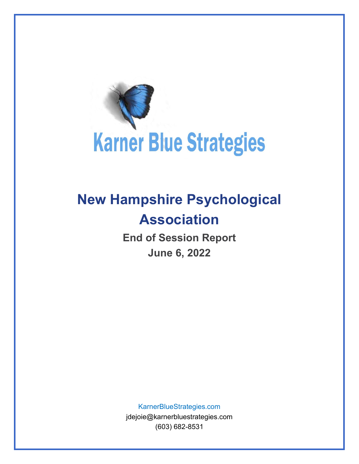

## **New Hampshire Psychological Association**

**End of Session Report June 6, 2022**

KarnerBlueStrategies.com

jdejoie@karnerbluestrategies.com (603) 682-8531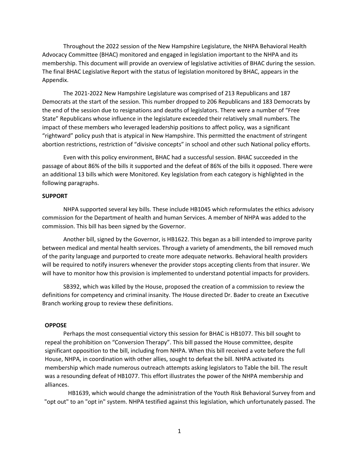Throughout the 2022 session of the New Hampshire Legislature, the NHPA Behavioral Health Advocacy Committee (BHAC) monitored and engaged in legislation important to the NHPA and its membership. This document will provide an overview of legislative activities of BHAC during the session. The final BHAC Legislative Report with the status of legislation monitored by BHAC, appears in the Appendix.

The 2021-2022 New Hampshire Legislature was comprised of 213 Republicans and 187 Democrats at the start of the session. This number dropped to 206 Republicans and 183 Democrats by the end of the session due to resignations and deaths of legislators. There were a number of "Free State" Republicans whose influence in the legislature exceeded their relatively small numbers. The impact of these members who leveraged leadership positions to affect policy, was a significant "rightward" policy push that is atypical in New Hampshire. This permitted the enactment of stringent abortion restrictions, restriction of "divisive concepts" in school and other such National policy efforts.

Even with this policy environment, BHAC had a successful session. BHAC succeeded in the passage of about 86% of the bills it supported and the defeat of 86% of the bills it opposed. There were an additional 13 bills which were Monitored. Key legislation from each category is highlighted in the following paragraphs.

## **SUPPORT**

NHPA supported several key bills. These include HB1045 which reformulates the ethics advisory commission for the Department of health and human Services. A member of NHPA was added to the commission. This bill has been signed by the Governor.

Another bill, signed by the Governor, is HB1622. This began as a bill intended to improve parity between medical and mental health services. Through a variety of amendments, the bill removed much of the parity language and purported to create more adequate networks. Behavioral health providers will be required to notify insurers whenever the provider stops accepting clients from that insurer. We will have to monitor how this provision is implemented to understand potential impacts for providers.

SB392, which was killed by the House, proposed the creation of a commission to review the definitions for competency and criminal insanity. The House directed Dr. Bader to create an Executive Branch working group to review these definitions.

## **OPPOSE**

Perhaps the most consequential victory this session for BHAC is HB1077. This bill sought to repeal the prohibition on "Conversion Therapy". This bill passed the House committee, despite significant opposition to the bill, including from NHPA. When this bill received a vote before the full House, NHPA, in coordination with other allies, sought to defeat the bill. NHPA activated its membership which made numerous outreach attempts asking legislators to Table the bill. The result was a resounding defeat of HB1077. This effort illustrates the power of the NHPA membership and alliances.

HB1639, which would change the administration of the Youth Risk Behavioral Survey from and "opt out" to an "opt in" system. NHPA testified against this legislation, which unfortunately passed. The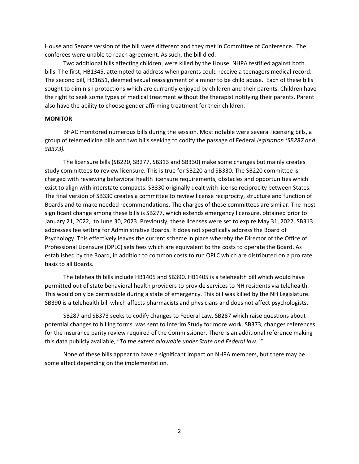House and Senate version of the bill were different and they met in Committee of Conference. The conferees were unable to reach agreement. As such, the bill died.

Two additional bills affecting children, were killed by the House. NHPA testified against both bills. The first, HB1345, attempted to address when parents could receive a teenagers medical record. The second bill, HB1651, deemed sexual reassignment of a minor to be child abuse. Each of these bills sought to diminish protections which are currently enjoyed by children and their parents. Children have the right to seek some types of medical treatment without the therapist notifying their parents. Parent also have the ability to choose gender affirming treatment for their children.

## **MONITOR**

BHAC monitored numerous bills during the session. Most notable were several licensing bills, a group of telemedicine bills and two bills seeking to codify the passage of Federal *legislation (SB287 and SB373).* 

The licensure bills (SB220, SB277, SB313 and SB330) make some changes but mainly creates study committees to review licensure. This is true for SB220 and SB330. The SB220 committee is charged with reviewing behavioral health licensure requirements, obstacles and opportunities which exist to align with interstate compacts. SB330 originally dealt with license reciprocity between States. The final version of SB330 creates a committee to review license reciprocity, structure and function of Boards and to make needed recommendations. The charges of these committees are similar. The most significant change among these bills is SB277, which extends emergency licensure, obtained prior to January 21, 2022, to June 30, 2023. Previously, these licenses were set to expire May 31, 2022. SB313 addresses fee setting for Administrative Boards. It does not specifically address the Board of Psychology. This effectively leaves the current scheme in place whereby the Director of the Office of Professional Licensure (OPLC) sets fees which are equivalent to the costs to operate the Board. As established by the Board, in addition to common costs to run OPLC which are distributed on a pro rate basis to all Boards.

The telehealth bills include HB1405 and SB390. HB1405 is a telehealth bill which would have permitted out of state behavioral health providers to provide services to NH residents via telehealth. This would only be permissible during a state of emergency. This bill was killed by the NH Legislature. SB390 is a telehealth bill which affects pharmacists and physicians and does not affect psychologists.

SB287 and SB373 seeks to codify changes to Federal Law. SB287 which raise questions about potential changes to billing forms, was sent to Interim Study for more work. SB373, changes references for the insurance parity review required of the Commissioner. There is an additional reference making this data publicly available, "*To the extent allowable under State and Federal law…"* 

None of these bills appear to have a significant impact on NHPA members, but there may be some affect depending on the implementation.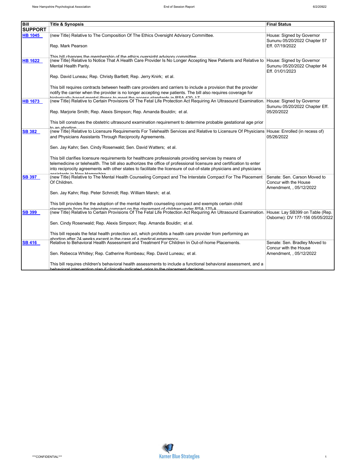| <b>Bill</b><br><b>Final Status</b><br><b>Title &amp; Synopsis</b><br><b>SUPPORT</b><br><b>HB 1045</b><br>(new Title) Relative to The Composition Of The Ethics Oversight Advisory Committee.<br>House: Signed by Governor<br>Sununu 05/20/2022 Chapter 57<br>Eff. 07/19/2022<br>Rep. Mark Pearson<br>This hill changes the membershin of the ethics oversight advisory committee<br><b>HB 1622</b><br>(new Title) Relative to Notice That A Health Care Provider Is No Longer Accepting New Patients and Relative to House: Signed by Governor<br>Sununu 05/20/2022 Chapter 84<br>Mental Health Parity.<br>Eff. 01/01/2023<br>Rep. David Luneau; Rep. Christy Bartlett; Rep. Jerry Knirk; et al.<br>This bill requires contracts between health care providers and carriers to include a provision that the provider<br>notify the carrier when the provider is no longer accepting new patients. The bill also requires coverage for<br>hiologically based mental illness to meet the access standards in DSA 420 1.7<br><b>HB 1673</b><br>(new Title) Relative to Certain Provisions Of The Fetal Life Protection Act Requiring An Ultrasound Examination. House: Signed by Governor<br>Sununu 05/20/2022 Chapter Eff.<br>05/20/2022<br>Rep. Marjorie Smith; Rep. Alexis Simpson; Rep. Amanda Bouldin; et al.<br>This bill construes the obstetric ultrasound examination requirement to determine probable gestational age prior<br>to an ahortion<br><b>SB 382</b><br>(new Title) Relative to Licensure Requirements For Telehealth Services and Relative to Licensure Of Physicians House: Enrolled (in recess of)<br>and Physicians Assistants Through Reciprocity Agreements.<br>05/26/2022<br>Sen. Jay Kahn; Sen. Cindy Rosenwald; Sen. David Watters; et al.<br>This bill clarifies licensure requirements for healthcare professionals providing services by means of<br>telemedicine or telehealth. The bill also authorizes the office of professional licensure and certification to enter<br>into reciprocity agreements with other states to facilitate the licensure of out-of-state physicians and physicians<br>aajatanta in Naur Hamnabira<br>(new Title) Relative to The Mental Health Counseling Compact and The Interstate Compact For The Placement<br>Senate: Sen. Carson Moved to<br><b>SB 397</b><br>Of Children.<br>Concur with the House<br>Amendment, , 05/12/2022<br>Sen. Jay Kahn; Rep. Peter Schmidt; Rep. William Marsh; et al.<br>This bill provides for the adoption of the mental health counseling compact and exempts certain child<br><u>nlacamante from tha intaretata comnact on tha nlacamant of childran undar RRA 170.A</u><br><b>SB 399</b><br>(new Title) Relative to Certain Provisions Of The Fetal Life Protection Act Requiring An Ultrasound Examination. House: Lay SB399 on Table (Rep.<br>Osborne): DV 177-156 05/05/2022<br>Sen. Cindy Rosenwald; Rep. Alexis Simpson; Rep. Amanda Bouldin; et al.<br>This bill repeals the fetal health protection act, which prohibits a health care provider from performing an<br>abortion after 24 weeks excent in the case of a medical emergency<br>SB 416<br>Relative to Behavioral Health Assessment and Treatment For Children In Out-of-home Placements.<br>Senate: Sen. Bradley Moved to<br>Concur with the House<br>Sen. Rebecca Whitley; Rep. Catherine Rombeau; Rep. David Luneau; et al.<br>Amendment, , 05/12/2022<br>This bill requires children's behavioral health assessments to include a functional behavioral assessment, and a<br>hebevioral intervention plan if clinically indicated prior to the placement decision |  |  |
|----------------------------------------------------------------------------------------------------------------------------------------------------------------------------------------------------------------------------------------------------------------------------------------------------------------------------------------------------------------------------------------------------------------------------------------------------------------------------------------------------------------------------------------------------------------------------------------------------------------------------------------------------------------------------------------------------------------------------------------------------------------------------------------------------------------------------------------------------------------------------------------------------------------------------------------------------------------------------------------------------------------------------------------------------------------------------------------------------------------------------------------------------------------------------------------------------------------------------------------------------------------------------------------------------------------------------------------------------------------------------------------------------------------------------------------------------------------------------------------------------------------------------------------------------------------------------------------------------------------------------------------------------------------------------------------------------------------------------------------------------------------------------------------------------------------------------------------------------------------------------------------------------------------------------------------------------------------------------------------------------------------------------------------------------------------------------------------------------------------------------------------------------------------------------------------------------------------------------------------------------------------------------------------------------------------------------------------------------------------------------------------------------------------------------------------------------------------------------------------------------------------------------------------------------------------------------------------------------------------------------------------------------------------------------------------------------------------------------------------------------------------------------------------------------------------------------------------------------------------------------------------------------------------------------------------------------------------------------------------------------------------------------------------------------------------------------------------------------------------------------------------------------------------------------------------------------------------------------------------------------------------------------------------------------------------------------------------------------------------------------------------------------------------------------------------------------------------------------------------------------------------------------------------------------------------------------------------------------------------------------------------|--|--|
|                                                                                                                                                                                                                                                                                                                                                                                                                                                                                                                                                                                                                                                                                                                                                                                                                                                                                                                                                                                                                                                                                                                                                                                                                                                                                                                                                                                                                                                                                                                                                                                                                                                                                                                                                                                                                                                                                                                                                                                                                                                                                                                                                                                                                                                                                                                                                                                                                                                                                                                                                                                                                                                                                                                                                                                                                                                                                                                                                                                                                                                                                                                                                                                                                                                                                                                                                                                                                                                                                                                                                                                                                                        |  |  |
|                                                                                                                                                                                                                                                                                                                                                                                                                                                                                                                                                                                                                                                                                                                                                                                                                                                                                                                                                                                                                                                                                                                                                                                                                                                                                                                                                                                                                                                                                                                                                                                                                                                                                                                                                                                                                                                                                                                                                                                                                                                                                                                                                                                                                                                                                                                                                                                                                                                                                                                                                                                                                                                                                                                                                                                                                                                                                                                                                                                                                                                                                                                                                                                                                                                                                                                                                                                                                                                                                                                                                                                                                                        |  |  |
|                                                                                                                                                                                                                                                                                                                                                                                                                                                                                                                                                                                                                                                                                                                                                                                                                                                                                                                                                                                                                                                                                                                                                                                                                                                                                                                                                                                                                                                                                                                                                                                                                                                                                                                                                                                                                                                                                                                                                                                                                                                                                                                                                                                                                                                                                                                                                                                                                                                                                                                                                                                                                                                                                                                                                                                                                                                                                                                                                                                                                                                                                                                                                                                                                                                                                                                                                                                                                                                                                                                                                                                                                                        |  |  |
|                                                                                                                                                                                                                                                                                                                                                                                                                                                                                                                                                                                                                                                                                                                                                                                                                                                                                                                                                                                                                                                                                                                                                                                                                                                                                                                                                                                                                                                                                                                                                                                                                                                                                                                                                                                                                                                                                                                                                                                                                                                                                                                                                                                                                                                                                                                                                                                                                                                                                                                                                                                                                                                                                                                                                                                                                                                                                                                                                                                                                                                                                                                                                                                                                                                                                                                                                                                                                                                                                                                                                                                                                                        |  |  |
|                                                                                                                                                                                                                                                                                                                                                                                                                                                                                                                                                                                                                                                                                                                                                                                                                                                                                                                                                                                                                                                                                                                                                                                                                                                                                                                                                                                                                                                                                                                                                                                                                                                                                                                                                                                                                                                                                                                                                                                                                                                                                                                                                                                                                                                                                                                                                                                                                                                                                                                                                                                                                                                                                                                                                                                                                                                                                                                                                                                                                                                                                                                                                                                                                                                                                                                                                                                                                                                                                                                                                                                                                                        |  |  |
|                                                                                                                                                                                                                                                                                                                                                                                                                                                                                                                                                                                                                                                                                                                                                                                                                                                                                                                                                                                                                                                                                                                                                                                                                                                                                                                                                                                                                                                                                                                                                                                                                                                                                                                                                                                                                                                                                                                                                                                                                                                                                                                                                                                                                                                                                                                                                                                                                                                                                                                                                                                                                                                                                                                                                                                                                                                                                                                                                                                                                                                                                                                                                                                                                                                                                                                                                                                                                                                                                                                                                                                                                                        |  |  |
|                                                                                                                                                                                                                                                                                                                                                                                                                                                                                                                                                                                                                                                                                                                                                                                                                                                                                                                                                                                                                                                                                                                                                                                                                                                                                                                                                                                                                                                                                                                                                                                                                                                                                                                                                                                                                                                                                                                                                                                                                                                                                                                                                                                                                                                                                                                                                                                                                                                                                                                                                                                                                                                                                                                                                                                                                                                                                                                                                                                                                                                                                                                                                                                                                                                                                                                                                                                                                                                                                                                                                                                                                                        |  |  |
|                                                                                                                                                                                                                                                                                                                                                                                                                                                                                                                                                                                                                                                                                                                                                                                                                                                                                                                                                                                                                                                                                                                                                                                                                                                                                                                                                                                                                                                                                                                                                                                                                                                                                                                                                                                                                                                                                                                                                                                                                                                                                                                                                                                                                                                                                                                                                                                                                                                                                                                                                                                                                                                                                                                                                                                                                                                                                                                                                                                                                                                                                                                                                                                                                                                                                                                                                                                                                                                                                                                                                                                                                                        |  |  |
|                                                                                                                                                                                                                                                                                                                                                                                                                                                                                                                                                                                                                                                                                                                                                                                                                                                                                                                                                                                                                                                                                                                                                                                                                                                                                                                                                                                                                                                                                                                                                                                                                                                                                                                                                                                                                                                                                                                                                                                                                                                                                                                                                                                                                                                                                                                                                                                                                                                                                                                                                                                                                                                                                                                                                                                                                                                                                                                                                                                                                                                                                                                                                                                                                                                                                                                                                                                                                                                                                                                                                                                                                                        |  |  |
|                                                                                                                                                                                                                                                                                                                                                                                                                                                                                                                                                                                                                                                                                                                                                                                                                                                                                                                                                                                                                                                                                                                                                                                                                                                                                                                                                                                                                                                                                                                                                                                                                                                                                                                                                                                                                                                                                                                                                                                                                                                                                                                                                                                                                                                                                                                                                                                                                                                                                                                                                                                                                                                                                                                                                                                                                                                                                                                                                                                                                                                                                                                                                                                                                                                                                                                                                                                                                                                                                                                                                                                                                                        |  |  |
|                                                                                                                                                                                                                                                                                                                                                                                                                                                                                                                                                                                                                                                                                                                                                                                                                                                                                                                                                                                                                                                                                                                                                                                                                                                                                                                                                                                                                                                                                                                                                                                                                                                                                                                                                                                                                                                                                                                                                                                                                                                                                                                                                                                                                                                                                                                                                                                                                                                                                                                                                                                                                                                                                                                                                                                                                                                                                                                                                                                                                                                                                                                                                                                                                                                                                                                                                                                                                                                                                                                                                                                                                                        |  |  |
|                                                                                                                                                                                                                                                                                                                                                                                                                                                                                                                                                                                                                                                                                                                                                                                                                                                                                                                                                                                                                                                                                                                                                                                                                                                                                                                                                                                                                                                                                                                                                                                                                                                                                                                                                                                                                                                                                                                                                                                                                                                                                                                                                                                                                                                                                                                                                                                                                                                                                                                                                                                                                                                                                                                                                                                                                                                                                                                                                                                                                                                                                                                                                                                                                                                                                                                                                                                                                                                                                                                                                                                                                                        |  |  |
|                                                                                                                                                                                                                                                                                                                                                                                                                                                                                                                                                                                                                                                                                                                                                                                                                                                                                                                                                                                                                                                                                                                                                                                                                                                                                                                                                                                                                                                                                                                                                                                                                                                                                                                                                                                                                                                                                                                                                                                                                                                                                                                                                                                                                                                                                                                                                                                                                                                                                                                                                                                                                                                                                                                                                                                                                                                                                                                                                                                                                                                                                                                                                                                                                                                                                                                                                                                                                                                                                                                                                                                                                                        |  |  |
|                                                                                                                                                                                                                                                                                                                                                                                                                                                                                                                                                                                                                                                                                                                                                                                                                                                                                                                                                                                                                                                                                                                                                                                                                                                                                                                                                                                                                                                                                                                                                                                                                                                                                                                                                                                                                                                                                                                                                                                                                                                                                                                                                                                                                                                                                                                                                                                                                                                                                                                                                                                                                                                                                                                                                                                                                                                                                                                                                                                                                                                                                                                                                                                                                                                                                                                                                                                                                                                                                                                                                                                                                                        |  |  |
|                                                                                                                                                                                                                                                                                                                                                                                                                                                                                                                                                                                                                                                                                                                                                                                                                                                                                                                                                                                                                                                                                                                                                                                                                                                                                                                                                                                                                                                                                                                                                                                                                                                                                                                                                                                                                                                                                                                                                                                                                                                                                                                                                                                                                                                                                                                                                                                                                                                                                                                                                                                                                                                                                                                                                                                                                                                                                                                                                                                                                                                                                                                                                                                                                                                                                                                                                                                                                                                                                                                                                                                                                                        |  |  |
|                                                                                                                                                                                                                                                                                                                                                                                                                                                                                                                                                                                                                                                                                                                                                                                                                                                                                                                                                                                                                                                                                                                                                                                                                                                                                                                                                                                                                                                                                                                                                                                                                                                                                                                                                                                                                                                                                                                                                                                                                                                                                                                                                                                                                                                                                                                                                                                                                                                                                                                                                                                                                                                                                                                                                                                                                                                                                                                                                                                                                                                                                                                                                                                                                                                                                                                                                                                                                                                                                                                                                                                                                                        |  |  |
|                                                                                                                                                                                                                                                                                                                                                                                                                                                                                                                                                                                                                                                                                                                                                                                                                                                                                                                                                                                                                                                                                                                                                                                                                                                                                                                                                                                                                                                                                                                                                                                                                                                                                                                                                                                                                                                                                                                                                                                                                                                                                                                                                                                                                                                                                                                                                                                                                                                                                                                                                                                                                                                                                                                                                                                                                                                                                                                                                                                                                                                                                                                                                                                                                                                                                                                                                                                                                                                                                                                                                                                                                                        |  |  |
|                                                                                                                                                                                                                                                                                                                                                                                                                                                                                                                                                                                                                                                                                                                                                                                                                                                                                                                                                                                                                                                                                                                                                                                                                                                                                                                                                                                                                                                                                                                                                                                                                                                                                                                                                                                                                                                                                                                                                                                                                                                                                                                                                                                                                                                                                                                                                                                                                                                                                                                                                                                                                                                                                                                                                                                                                                                                                                                                                                                                                                                                                                                                                                                                                                                                                                                                                                                                                                                                                                                                                                                                                                        |  |  |
|                                                                                                                                                                                                                                                                                                                                                                                                                                                                                                                                                                                                                                                                                                                                                                                                                                                                                                                                                                                                                                                                                                                                                                                                                                                                                                                                                                                                                                                                                                                                                                                                                                                                                                                                                                                                                                                                                                                                                                                                                                                                                                                                                                                                                                                                                                                                                                                                                                                                                                                                                                                                                                                                                                                                                                                                                                                                                                                                                                                                                                                                                                                                                                                                                                                                                                                                                                                                                                                                                                                                                                                                                                        |  |  |
|                                                                                                                                                                                                                                                                                                                                                                                                                                                                                                                                                                                                                                                                                                                                                                                                                                                                                                                                                                                                                                                                                                                                                                                                                                                                                                                                                                                                                                                                                                                                                                                                                                                                                                                                                                                                                                                                                                                                                                                                                                                                                                                                                                                                                                                                                                                                                                                                                                                                                                                                                                                                                                                                                                                                                                                                                                                                                                                                                                                                                                                                                                                                                                                                                                                                                                                                                                                                                                                                                                                                                                                                                                        |  |  |
|                                                                                                                                                                                                                                                                                                                                                                                                                                                                                                                                                                                                                                                                                                                                                                                                                                                                                                                                                                                                                                                                                                                                                                                                                                                                                                                                                                                                                                                                                                                                                                                                                                                                                                                                                                                                                                                                                                                                                                                                                                                                                                                                                                                                                                                                                                                                                                                                                                                                                                                                                                                                                                                                                                                                                                                                                                                                                                                                                                                                                                                                                                                                                                                                                                                                                                                                                                                                                                                                                                                                                                                                                                        |  |  |
|                                                                                                                                                                                                                                                                                                                                                                                                                                                                                                                                                                                                                                                                                                                                                                                                                                                                                                                                                                                                                                                                                                                                                                                                                                                                                                                                                                                                                                                                                                                                                                                                                                                                                                                                                                                                                                                                                                                                                                                                                                                                                                                                                                                                                                                                                                                                                                                                                                                                                                                                                                                                                                                                                                                                                                                                                                                                                                                                                                                                                                                                                                                                                                                                                                                                                                                                                                                                                                                                                                                                                                                                                                        |  |  |
|                                                                                                                                                                                                                                                                                                                                                                                                                                                                                                                                                                                                                                                                                                                                                                                                                                                                                                                                                                                                                                                                                                                                                                                                                                                                                                                                                                                                                                                                                                                                                                                                                                                                                                                                                                                                                                                                                                                                                                                                                                                                                                                                                                                                                                                                                                                                                                                                                                                                                                                                                                                                                                                                                                                                                                                                                                                                                                                                                                                                                                                                                                                                                                                                                                                                                                                                                                                                                                                                                                                                                                                                                                        |  |  |
|                                                                                                                                                                                                                                                                                                                                                                                                                                                                                                                                                                                                                                                                                                                                                                                                                                                                                                                                                                                                                                                                                                                                                                                                                                                                                                                                                                                                                                                                                                                                                                                                                                                                                                                                                                                                                                                                                                                                                                                                                                                                                                                                                                                                                                                                                                                                                                                                                                                                                                                                                                                                                                                                                                                                                                                                                                                                                                                                                                                                                                                                                                                                                                                                                                                                                                                                                                                                                                                                                                                                                                                                                                        |  |  |
|                                                                                                                                                                                                                                                                                                                                                                                                                                                                                                                                                                                                                                                                                                                                                                                                                                                                                                                                                                                                                                                                                                                                                                                                                                                                                                                                                                                                                                                                                                                                                                                                                                                                                                                                                                                                                                                                                                                                                                                                                                                                                                                                                                                                                                                                                                                                                                                                                                                                                                                                                                                                                                                                                                                                                                                                                                                                                                                                                                                                                                                                                                                                                                                                                                                                                                                                                                                                                                                                                                                                                                                                                                        |  |  |
|                                                                                                                                                                                                                                                                                                                                                                                                                                                                                                                                                                                                                                                                                                                                                                                                                                                                                                                                                                                                                                                                                                                                                                                                                                                                                                                                                                                                                                                                                                                                                                                                                                                                                                                                                                                                                                                                                                                                                                                                                                                                                                                                                                                                                                                                                                                                                                                                                                                                                                                                                                                                                                                                                                                                                                                                                                                                                                                                                                                                                                                                                                                                                                                                                                                                                                                                                                                                                                                                                                                                                                                                                                        |  |  |
|                                                                                                                                                                                                                                                                                                                                                                                                                                                                                                                                                                                                                                                                                                                                                                                                                                                                                                                                                                                                                                                                                                                                                                                                                                                                                                                                                                                                                                                                                                                                                                                                                                                                                                                                                                                                                                                                                                                                                                                                                                                                                                                                                                                                                                                                                                                                                                                                                                                                                                                                                                                                                                                                                                                                                                                                                                                                                                                                                                                                                                                                                                                                                                                                                                                                                                                                                                                                                                                                                                                                                                                                                                        |  |  |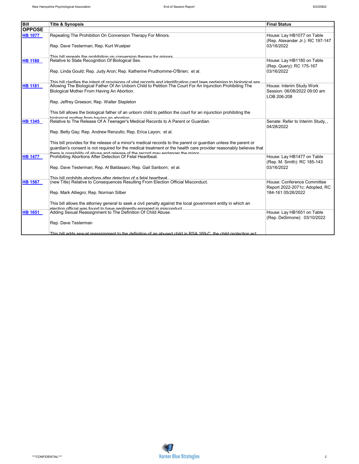| <b>Bill</b>    | <b>Title &amp; Synopsis</b>                                                                                             | <b>Final Status</b>                                            |
|----------------|-------------------------------------------------------------------------------------------------------------------------|----------------------------------------------------------------|
| <b>OPPOSE</b>  |                                                                                                                         |                                                                |
| <b>HB 1077</b> | Repealing The Prohibition On Conversion Therapy For Minors.                                                             | House: Lay HB1077 on Table<br>(Rep. Alexander Jr.): RC 197-147 |
|                | Rep. Dave Testerman; Rep. Kurt Wuelper                                                                                  | 03/16/2022                                                     |
|                | This hill reneals the prohibition on conversion therany for minors                                                      |                                                                |
| <b>HB 1180</b> | Relative to State Recognition Of Biological Sex.                                                                        | House: Lay HB1180 on Table                                     |
|                | Rep. Linda Gould; Rep. Judy Aron; Rep. Katherine Prudhomme-O'Brien; et al.                                              | (Rep. Query): RC 175-167<br>03/16/2022                         |
|                | This hill clarifies the intent of provisions of vital records and identification card laws pertaining to hiological sex |                                                                |
| <b>HB 1181</b> | Allowing The Biological Father Of An Unborn Child to Petition The Court For An Injunction Prohibiting The               | House: Interim Study Work                                      |
|                | Biological Mother From Having An Abortion.                                                                              | Session: 06/08/2022 09:00 am<br>LOB 206-208                    |
|                | Rep. Jeffrey Greeson; Rep. Walter Stapleton                                                                             |                                                                |
|                | This bill allows the biological father of an unborn child to petition the court for an injunction prohibiting the       |                                                                |
|                | hiological mother from having an abortion                                                                               |                                                                |
| <b>HB 1345</b> | Relative to The Release Of A Teenager's Medical Records to A Parent or Guardian.                                        | Senate: Refer to Interim Study, ,<br>04/28/2022                |
|                | Rep. Betty Gay; Rep. Andrew Renzullo; Rep. Erica Layon; et al.                                                          |                                                                |
|                | This bill provides for the release of a minor's medical records to the parent or quardian unless the parent or          |                                                                |
|                | quardian's consent is not required for the medical treatment or the health care provider reasonably believes that       |                                                                |
|                | there is nossibility of abuse and release of the record may endanger the minor                                          |                                                                |
| <b>HB 1477</b> | Prohibiting Abortions After Detection Of Fetal Heartbeat.                                                               | House: Lay HB1477 on Table                                     |
|                |                                                                                                                         | (Rep. M. Smith): RC 185-143                                    |
|                | Rep. Dave Testerman; Rep. Al Baldasaro; Rep. Gail Sanborn; et al.                                                       | 03/16/2022                                                     |
|                | This hill prohibits abortions after detection of a fetal heartheat                                                      |                                                                |
| <b>HB 1567</b> | (new Title) Relative to Consequences Resulting From Election Official Misconduct.                                       | House: Conference Committee                                    |
|                |                                                                                                                         | Report 2022-2071c: Adopted, RC                                 |
|                | Rep. Mark Alliegro; Rep. Norman Silber                                                                                  | 184-161 05/26/2022                                             |
|                | This bill allows the attorney general to seek a civil penalty against the local government entity in which an           |                                                                |
|                | alaction official was found to have negligative annoneal in misconduct                                                  |                                                                |
| <b>HB 1651</b> | Adding Sexual Reassignment to The Definition Of Child Abuse.                                                            | House: Lay HB1651 on Table<br>(Rep. DeSimone): 03/10/2022      |
|                | Rep. Dave Testerman                                                                                                     |                                                                |
|                | This bill adds sexual reassignment to the definition of an abused child in RSA 169-C, the child protection act          |                                                                |

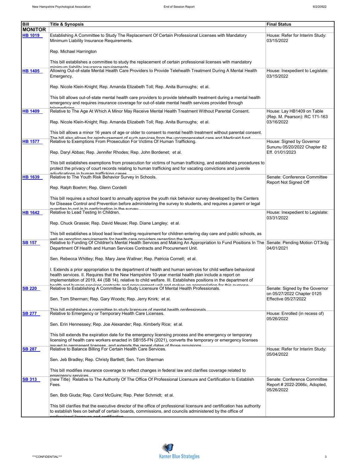| Bill<br><b>MONITOR</b> | <u>Title &amp; Synopsis</u>                                                                                                                                                                                                                                                                                                                                               | <b>Final Status</b>                                                          |
|------------------------|---------------------------------------------------------------------------------------------------------------------------------------------------------------------------------------------------------------------------------------------------------------------------------------------------------------------------------------------------------------------------|------------------------------------------------------------------------------|
| <b>HB 1019</b>         | Establishing A Committee to Study The Replacement Of Certain Professional Licenses with Mandatory<br>Minimum Liability Insurance Requirements.                                                                                                                                                                                                                            | House: Refer for Interim Study:<br>03/15/2022                                |
|                        | Rep. Michael Harrington                                                                                                                                                                                                                                                                                                                                                   |                                                                              |
|                        | This bill establishes a committee to study the replacement of certain professional licenses with mandatory<br>minimum liahility incurance requirements                                                                                                                                                                                                                    |                                                                              |
| HB 1405                | Allowing Out-of-state Mental Health Care Providers to Provide Telehealth Treatment During A Mental Health<br>Emergency.                                                                                                                                                                                                                                                   | House: Inexpedient to Legislate:<br>03/15/2022                               |
|                        | Rep. Nicole Klein-Knight; Rep. Amanda Elizabeth Toll; Rep. Anita Burroughs; et al.                                                                                                                                                                                                                                                                                        |                                                                              |
|                        | This bill allows out-of-state mental health care providers to provide telehealth treatment during a mental health<br>emergency and requires insurance coverage for out-of-state mental health services provided through<br>talamadiaina                                                                                                                                   |                                                                              |
| HB 1409                | Relative to The Age At Which A Minor May Receive Mental Health Treatment Without Parental Consent.                                                                                                                                                                                                                                                                        | House: Lay HB1409 on Table<br>(Rep. M. Pearson): RC 171-163                  |
|                        | Rep. Nicole Klein-Knight; Rep. Amanda Elizabeth Toll; Rep. Anita Burroughs; et al.                                                                                                                                                                                                                                                                                        | 03/16/2022                                                                   |
|                        | This bill allows a minor 16 years of age or older to consent to mental health treatment without parental consent.<br>The bill also allows for reimbursement of such services from the uncompensated care and Medicaid fund.                                                                                                                                               |                                                                              |
| HB 1577                | Relative to Exemptions From Prosecution For Victims Of Human Trafficking.<br>Rep. Daryl Abbas; Rep. Jennifer Rhodes; Rep. John Bordenet; et al.                                                                                                                                                                                                                           | House: Signed by Governor<br>Sununu 05/20/2022 Chapter 82<br>Eff. 01/01/2023 |
|                        | This bill establishes exemptions from prosecution for victims of human trafficking, and establishes procedures to                                                                                                                                                                                                                                                         |                                                                              |
|                        | protect the privacy of court records relating to human trafficking and for vacating convictions and juvenile<br>adjudicatione in human trafficking caeae                                                                                                                                                                                                                  |                                                                              |
| HB 1639                | Relative to The Youth Risk Behavior Survey In Schools.                                                                                                                                                                                                                                                                                                                    | Senate: Conference Committee<br>Report Not Signed Off                        |
|                        | Rep. Ralph Boehm; Rep. Glenn Cordelli                                                                                                                                                                                                                                                                                                                                     |                                                                              |
|                        | This bill requires a school board to annually approve the youth risk behavior survey developed by the Centers<br>for Disease Control and Prevention before administering the survey to students, and requires a parent or legal<br><u>auardian to ont in to narticination in the curvey</u>                                                                               |                                                                              |
| <b>HB 1642</b>         | Relative to Lead Testing In Children.                                                                                                                                                                                                                                                                                                                                     | House: Inexpedient to Legislate:<br>03/31/2022                               |
|                        | Rep. Chuck Grassie; Rep. David Meuse; Rep. Diane Langley; et al.                                                                                                                                                                                                                                                                                                          |                                                                              |
|                        | This bill establishes a blood lead level testing requirement for children entering day care and public schools, as<br>well as renorting requirements for health care providers regarding the tests                                                                                                                                                                        |                                                                              |
| <b>SB 157</b>          | Relative to Funding Of Children's Mental Health Services and Making An Appropriation to Fund Positions In The Senate: Pending Motion OT3rdg<br>Department Of Health and Human Services Contracts and Procurement Unit.                                                                                                                                                    | 04/01/2021                                                                   |
|                        | Sen. Rebecca Whitley; Rep. Mary Jane Wallner; Rep. Patricia Cornell; et al.                                                                                                                                                                                                                                                                                               |                                                                              |
|                        | I. Extends a prior appropriation to the department of health and human services for child welfare behavioral<br>health services. II. Requires that the New Hampshire 10-year mental health plan include a report on<br>implementation of 2019, 44 (SB 14), relative to child welfare. III. Establishes positions in the department of                                     |                                                                              |
| <b>SB 220</b>          | Relative to Establishing A Committee to Study Licensure Of Mental Health Professionals.                                                                                                                                                                                                                                                                                   | Senate: Signed by the Governor<br>on 05/27/2022 Chapter 0125                 |
|                        | Sen. Tom Sherman; Rep. Gary Woods; Rep. Jerry Knirk; et al.                                                                                                                                                                                                                                                                                                               | Effective 05/27/2022                                                         |
| <b>SB 277</b>          | This hill establishes a committee to study licensure of mental health professionals<br>Relative to Emergency or Temporary Health Care Licenses.                                                                                                                                                                                                                           | House: Enrolled (in recess of)                                               |
|                        | Sen. Erin Hennessey; Rep. Joe Alexander; Rep. Kimberly Rice; et al.                                                                                                                                                                                                                                                                                                       | 05/26/2022                                                                   |
| <b>SB 287</b>          | This bill extends the expiration date for the emergency licensing process and the emergency or temporary<br>licensing of health care workers enacted in SB155-FN (2021), converts the temporary or emergency licenses<br>issued to nermanent licenses, and extends the reneal dates of those provisions.<br>Relative to Balance Billing For Certain Health Care Services. | House: Refer for Interim Study:                                              |
|                        | Sen. Jeb Bradley; Rep. Christy Bartlett; Sen. Tom Sherman                                                                                                                                                                                                                                                                                                                 | 05/04/2022                                                                   |
|                        | This bill modifies insurance coverage to reflect changes in federal law and clarifies coverage related to                                                                                                                                                                                                                                                                 |                                                                              |
| <b>SB 313</b>          | emernency services<br>(new Title) Relative to The Authority Of The Office Of Professional Licensure and Certification to Establish<br>Fees.                                                                                                                                                                                                                               | Senate: Conference Committee<br>Report # 2022-2066c, Adopted,<br>05/26/2022  |
|                        | Sen. Bob Giuda; Rep. Carol McGuire; Rep. Peter Schmidt; et al.                                                                                                                                                                                                                                                                                                            |                                                                              |
|                        | This bill clarifies that the executive director of the office of professional licensure and certification has authority<br>to establish fees on behalf of certain boards, commissions, and councils administered by the office of<br><u>iolonal ligonouse and costification</u>                                                                                           |                                                                              |